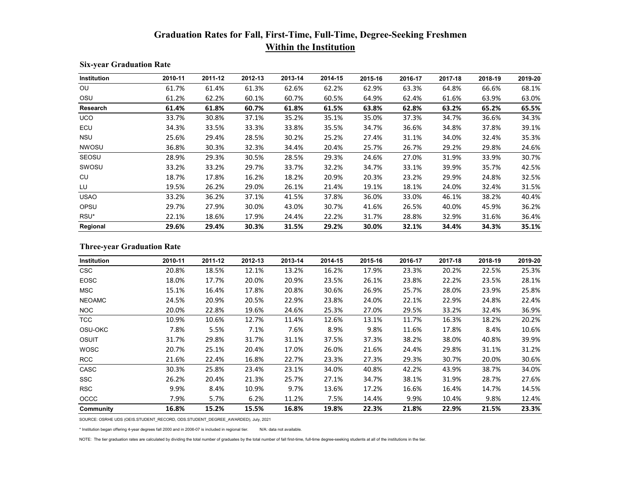## **Graduation Rates for Fall, First-Time, Full-Time, Degree-Seeking Freshmen Within the Institution**

| Institution  | 2010-11 | 2011-12 | 2012-13 | 2013-14 | 2014-15 | 2015-16 | 2016-17 | 2017-18 | 2018-19 | 2019-20 |
|--------------|---------|---------|---------|---------|---------|---------|---------|---------|---------|---------|
| OU           | 61.7%   | 61.4%   | 61.3%   | 62.6%   | 62.2%   | 62.9%   | 63.3%   | 64.8%   | 66.6%   | 68.1%   |
| OSU          | 61.2%   | 62.2%   | 60.1%   | 60.7%   | 60.5%   | 64.9%   | 62.4%   | 61.6%   | 63.9%   | 63.0%   |
| Research     | 61.4%   | 61.8%   | 60.7%   | 61.8%   | 61.5%   | 63.8%   | 62.8%   | 63.2%   | 65.2%   | 65.5%   |
| <b>UCO</b>   | 33.7%   | 30.8%   | 37.1%   | 35.2%   | 35.1%   | 35.0%   | 37.3%   | 34.7%   | 36.6%   | 34.3%   |
| ECU          | 34.3%   | 33.5%   | 33.3%   | 33.8%   | 35.5%   | 34.7%   | 36.6%   | 34.8%   | 37.8%   | 39.1%   |
| <b>NSU</b>   | 25.6%   | 29.4%   | 28.5%   | 30.2%   | 25.2%   | 27.4%   | 31.1%   | 34.0%   | 32.4%   | 35.3%   |
| <b>NWOSU</b> | 36.8%   | 30.3%   | 32.3%   | 34.4%   | 20.4%   | 25.7%   | 26.7%   | 29.2%   | 29.8%   | 24.6%   |
| SEOSU        | 28.9%   | 29.3%   | 30.5%   | 28.5%   | 29.3%   | 24.6%   | 27.0%   | 31.9%   | 33.9%   | 30.7%   |
| SWOSU        | 33.2%   | 33.2%   | 29.7%   | 33.7%   | 32.2%   | 34.7%   | 33.1%   | 39.9%   | 35.7%   | 42.5%   |
| CU           | 18.7%   | 17.8%   | 16.2%   | 18.2%   | 20.9%   | 20.3%   | 23.2%   | 29.9%   | 24.8%   | 32.5%   |
| LU           | 19.5%   | 26.2%   | 29.0%   | 26.1%   | 21.4%   | 19.1%   | 18.1%   | 24.0%   | 32.4%   | 31.5%   |
| <b>USAO</b>  | 33.2%   | 36.2%   | 37.1%   | 41.5%   | 37.8%   | 36.0%   | 33.0%   | 46.1%   | 38.2%   | 40.4%   |
| OPSU         | 29.7%   | 27.9%   | 30.0%   | 43.0%   | 30.7%   | 41.6%   | 26.5%   | 40.0%   | 45.9%   | 36.2%   |
| RSU*         | 22.1%   | 18.6%   | 17.9%   | 24.4%   | 22.2%   | 31.7%   | 28.8%   | 32.9%   | 31.6%   | 36.4%   |
| Regional     | 29.6%   | 29.4%   | 30.3%   | 31.5%   | 29.2%   | 30.0%   | 32.1%   | 34.4%   | 34.3%   | 35.1%   |

## **Six-year Graduation Rate**

## **Three-year Graduation Rate**

| Institution   | 2010-11 | 2011-12 | 2012-13 | 2013-14 | 2014-15 | 2015-16 | 2016-17 | 2017-18 | 2018-19 | 2019-20 |
|---------------|---------|---------|---------|---------|---------|---------|---------|---------|---------|---------|
| <b>CSC</b>    | 20.8%   | 18.5%   | 12.1%   | 13.2%   | 16.2%   | 17.9%   | 23.3%   | 20.2%   | 22.5%   | 25.3%   |
| <b>EOSC</b>   | 18.0%   | 17.7%   | 20.0%   | 20.9%   | 23.5%   | 26.1%   | 23.8%   | 22.2%   | 23.5%   | 28.1%   |
| <b>MSC</b>    | 15.1%   | 16.4%   | 17.8%   | 20.8%   | 30.6%   | 26.9%   | 25.7%   | 28.0%   | 23.9%   | 25.8%   |
| <b>NEOAMC</b> | 24.5%   | 20.9%   | 20.5%   | 22.9%   | 23.8%   | 24.0%   | 22.1%   | 22.9%   | 24.8%   | 22.4%   |
| NOC.          | 20.0%   | 22.8%   | 19.6%   | 24.6%   | 25.3%   | 27.0%   | 29.5%   | 33.2%   | 32.4%   | 36.9%   |
| <b>TCC</b>    | 10.9%   | 10.6%   | 12.7%   | 11.4%   | 12.6%   | 13.1%   | 11.7%   | 16.3%   | 18.2%   | 20.2%   |
| OSU-OKC       | 7.8%    | 5.5%    | 7.1%    | 7.6%    | 8.9%    | 9.8%    | 11.6%   | 17.8%   | 8.4%    | 10.6%   |
| OSUIT         | 31.7%   | 29.8%   | 31.7%   | 31.1%   | 37.5%   | 37.3%   | 38.2%   | 38.0%   | 40.8%   | 39.9%   |
| <b>WOSC</b>   | 20.7%   | 25.1%   | 20.4%   | 17.0%   | 26.0%   | 21.6%   | 24.4%   | 29.8%   | 31.1%   | 31.2%   |
| <b>RCC</b>    | 21.6%   | 22.4%   | 16.8%   | 22.7%   | 23.3%   | 27.3%   | 29.3%   | 30.7%   | 20.0%   | 30.6%   |
| CASC          | 30.3%   | 25.8%   | 23.4%   | 23.1%   | 34.0%   | 40.8%   | 42.2%   | 43.9%   | 38.7%   | 34.0%   |
| <b>SSC</b>    | 26.2%   | 20.4%   | 21.3%   | 25.7%   | 27.1%   | 34.7%   | 38.1%   | 31.9%   | 28.7%   | 27.6%   |
| <b>RSC</b>    | 9.9%    | 8.4%    | 10.9%   | 9.7%    | 13.6%   | 17.2%   | 16.6%   | 16.4%   | 14.7%   | 14.5%   |
| <b>OCCC</b>   | 7.9%    | 5.7%    | 6.2%    | 11.2%   | 7.5%    | 14.4%   | 9.9%    | 10.4%   | 9.8%    | 12.4%   |
| Community     | 16.8%   | 15.2%   | 15.5%   | 16.8%   | 19.8%   | 22.3%   | 21.8%   | 22.9%   | 21.5%   | 23.3%   |

SOURCE: OSRHE UDS (OEIS.STUDENT\_RECORD, ODS.STUDENT\_DEGREE\_AWARDED), July, 2021

\* Institution began offering 4-year degrees fall 2000 and in 2006-07 is included in regional tier. N/A: data not available.

NOTE: The tier graduation rates are calculated by dividing the total number of graduates by the total number of fall first-time, full-time degree-seeking students at all of the institutions in the tier.